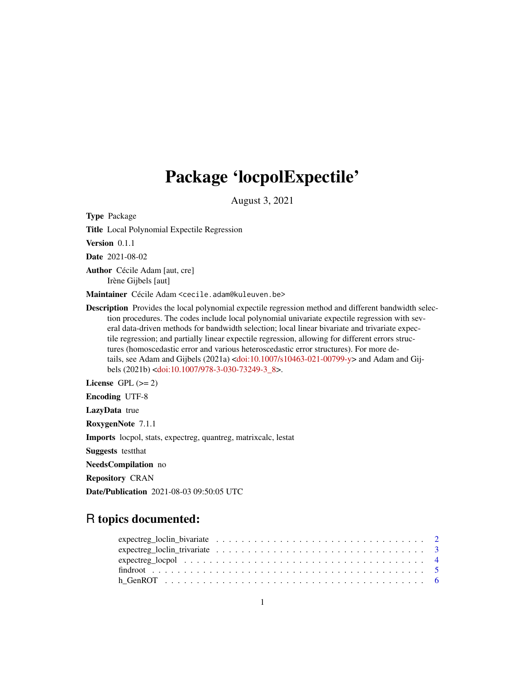# Package 'locpolExpectile'

August 3, 2021

<span id="page-0-0"></span>Type Package Title Local Polynomial Expectile Regression Version 0.1.1 Date 2021-08-02 Author Cécile Adam [aut, cre] Irène Gijbels [aut] Maintainer Cécile Adam <cecile.adam@kuleuven.be> Description Provides the local polynomial expectile regression method and different bandwidth selection procedures. The codes include local polynomial univariate expectile regression with several data-driven methods for bandwidth selection; local linear bivariate and trivariate expectile regression; and partially linear expectile regression, allowing for different errors structures (homoscedastic error and various heteroscedastic error structures). For more details, see Adam and Gijbels (2021a) [<doi:10.1007/s10463-021-00799-y>](https://doi.org/10.1007/s10463-021-00799-y) and Adam and Gijbels (2021b) [<doi:10.1007/978-3-030-73249-3\\_8>](https://doi.org/10.1007/978-3-030-73249-3_8). License GPL  $(>= 2)$ Encoding UTF-8 LazyData true RoxygenNote 7.1.1 Imports locpol, stats, expectreg, quantreg, matrixcalc, lestat Suggests testthat

NeedsCompilation no

Repository CRAN

Date/Publication 2021-08-03 09:50:05 UTC

# R topics documented: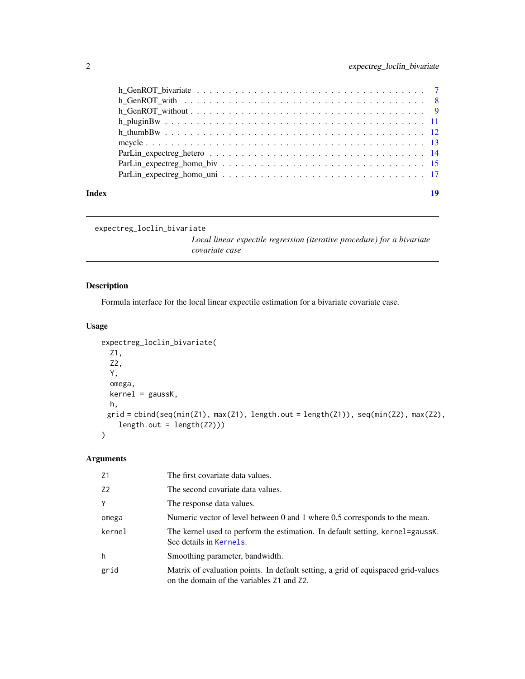<span id="page-1-0"></span>

| Index | 19 |
|-------|----|

```
expectreg_loclin_bivariate
```
*Local linear expectile regression (iterative procedure) for a bivariate covariate case*

# Description

Formula interface for the local linear expectile estimation for a bivariate covariate case.

# Usage

```
expectreg_loclin_bivariate(
  Z1,
  Z2,
  Y,
  omega,
 kernel = gaussK,
 h,
 grid = cbind(seq(min(Z1), max(Z1), length.out = length(Z1)), seq(min(Z2), max(Z2),
    length.out = length(Z2)))
)
```

| Z1             | The first covariate data values.                                                                                                    |
|----------------|-------------------------------------------------------------------------------------------------------------------------------------|
| Z <sub>2</sub> | The second covariate data values.                                                                                                   |
| Y              | The response data values.                                                                                                           |
| omega          | Numeric vector of level between 0 and 1 where 0.5 corresponds to the mean.                                                          |
| kernel         | The kernel used to perform the estimation. In default setting, kernel=gaussK.<br>See details in Kernels.                            |
| h              | Smoothing parameter, bandwidth.                                                                                                     |
| grid           | Matrix of evaluation points. In default setting, a grid of equispaced grid-values<br>on the domain of the variables $Z1$ and $Z2$ . |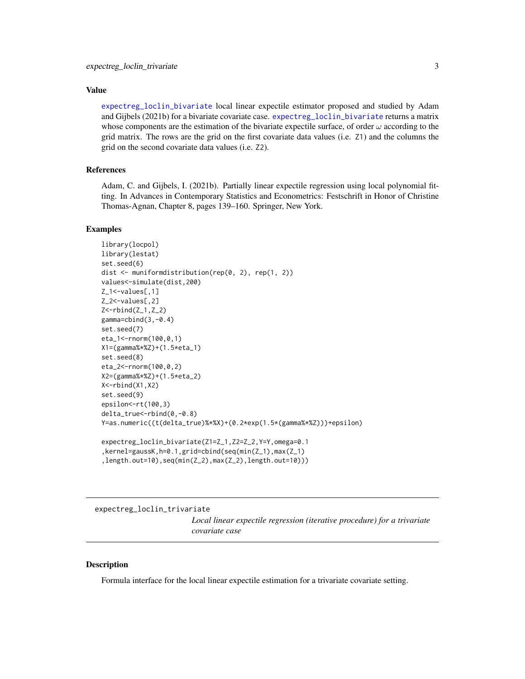<span id="page-2-0"></span>[expectreg\\_loclin\\_bivariate](#page-1-1) local linear expectile estimator proposed and studied by Adam and Gijbels (2021b) for a bivariate covariate case. [expectreg\\_loclin\\_bivariate](#page-1-1) returns a matrix whose components are the estimation of the bivariate expectile surface, of order  $\omega$  according to the grid matrix. The rows are the grid on the first covariate data values (i.e. Z1) and the columns the grid on the second covariate data values (i.e. Z2).

# References

Adam, C. and Gijbels, I. (2021b). Partially linear expectile regression using local polynomial fitting. In Advances in Contemporary Statistics and Econometrics: Festschrift in Honor of Christine Thomas-Agnan, Chapter 8, pages 139–160. Springer, New York.

#### Examples

```
library(locpol)
library(lestat)
set.seed(6)
dist <- muniformdistribution(rep(0, 2), rep(1, 2))
values<-simulate(dist,200)
Z_1<-values[,1]
Z_2<-values[,2]
Z -rbind(Z_1, Z_2)
gamma=cbind(3,-0.4)
set.seed(7)
eta_1<-rnorm(100,0,1)
X1=(gamma%*%Z)+(1.5*eta_1)
set.seed(8)
eta_2<-rnorm(100,0,2)
X2=(gamma%*%Z)+(1.5*eta_2)
X<-rbind(X1,X2)
set.seed(9)
epsilon<-rt(100,3)
delta_true<-rbind(0,-0.8)
Y=as.numeric((t(delta_true)%*%X)+(0.2*exp(1.5*(gamma%*%Z)))+epsilon)
expectreg_loclin_bivariate(Z1=Z_1,Z2=Z_2,Y=Y,omega=0.1
,kernel=gaussK,h=0.1,grid=cbind(seq(min(Z_1),max(Z_1)
,length.out=10),seq(min(Z_2),max(Z_2),length.out=10)))
```
<span id="page-2-1"></span>expectreg\_loclin\_trivariate

*Local linear expectile regression (iterative procedure) for a trivariate covariate case*

# **Description**

Formula interface for the local linear expectile estimation for a trivariate covariate setting.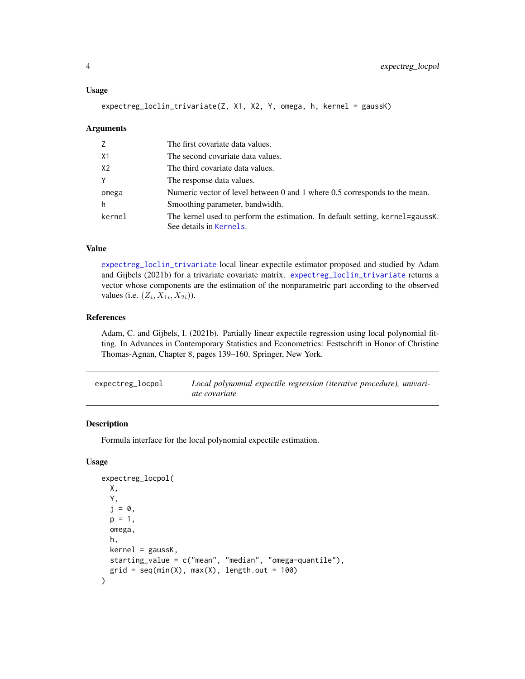expectreg\_loclin\_trivariate(Z, X1, X2, Y, omega, h, kernel = gaussK)

#### Arguments

| Z      | The first covariate data values.                                                                         |
|--------|----------------------------------------------------------------------------------------------------------|
| X1     | The second covariate data values.                                                                        |
| X2     | The third covariate data values.                                                                         |
| Y      | The response data values.                                                                                |
| omega  | Numeric vector of level between 0 and 1 where 0.5 corresponds to the mean.                               |
| h      | Smoothing parameter, bandwidth.                                                                          |
| kernel | The kernel used to perform the estimation. In default setting, kernel=gaussK.<br>See details in Kernels. |

# Value

[expectreg\\_loclin\\_trivariate](#page-2-1) local linear expectile estimator proposed and studied by Adam and Gijbels (2021b) for a trivariate covariate matrix. [expectreg\\_loclin\\_trivariate](#page-2-1) returns a vector whose components are the estimation of the nonparametric part according to the observed values (i.e.  $(Z_i, X_{1i}, X_{2i})$ ).

# References

Adam, C. and Gijbels, I. (2021b). Partially linear expectile regression using local polynomial fitting. In Advances in Contemporary Statistics and Econometrics: Festschrift in Honor of Christine Thomas-Agnan, Chapter 8, pages 139–160. Springer, New York.

<span id="page-3-1"></span>

| expectreg_locpol | Local polynomial expectile regression (iterative procedure), univari- |
|------------------|-----------------------------------------------------------------------|
|                  | ate covariate                                                         |

# Description

Formula interface for the local polynomial expectile estimation.

# Usage

```
expectreg_locpol(
 X,
 Y,
 j = 0,
 p = 1,
 omega,
 h,
 kernel = gaussK,
 starting_value = c("mean", "median", "omega-quantile"),
  grid = seq(min(X), max(X), length.out = 100))
```
<span id="page-3-0"></span>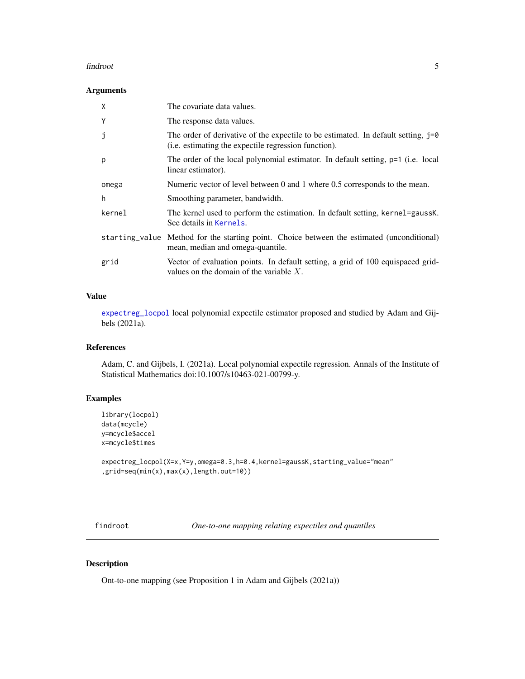#### <span id="page-4-0"></span>findroot 5

# Arguments

| X      | The covariate data values.                                                                                                                  |
|--------|---------------------------------------------------------------------------------------------------------------------------------------------|
| Y      | The response data values.                                                                                                                   |
| j      | The order of derivative of the expectile to be estimated. In default setting, $j=0$<br>(i.e. estimating the expectile regression function). |
| p      | The order of the local polynomial estimator. In default setting, p=1 (i.e. local<br>linear estimator).                                      |
| omega  | Numeric vector of level between 0 and 1 where 0.5 corresponds to the mean.                                                                  |
| h      | Smoothing parameter, bandwidth.                                                                                                             |
| kernel | The kernel used to perform the estimation. In default setting, kernel=gaussK.<br>See details in Kernels.                                    |
|        | starting_value Method for the starting point. Choice between the estimated (unconditional)<br>mean, median and omega-quantile.              |
| grid   | Vector of evaluation points. In default setting, a grid of 100 equispaced grid-<br>values on the domain of the variable $X$ .               |

# Value

[expectreg\\_locpol](#page-3-1) local polynomial expectile estimator proposed and studied by Adam and Gijbels (2021a).

# References

Adam, C. and Gijbels, I. (2021a). Local polynomial expectile regression. Annals of the Institute of Statistical Mathematics doi:10.1007/s10463-021-00799-y.

# Examples

```
library(locpol)
data(mcycle)
y=mcycle$accel
x=mcycle$times
```

```
expectreg_locpol(X=x, Y=y, omega=0.3, h=0.4, kernel=gaussK, starting_value="mean"
,grid=seq(min(x),max(x),length.out=10))
```
<span id="page-4-1"></span>findroot *One-to-one mapping relating expectiles and quantiles*

# Description

Ont-to-one mapping (see Proposition 1 in Adam and Gijbels (2021a))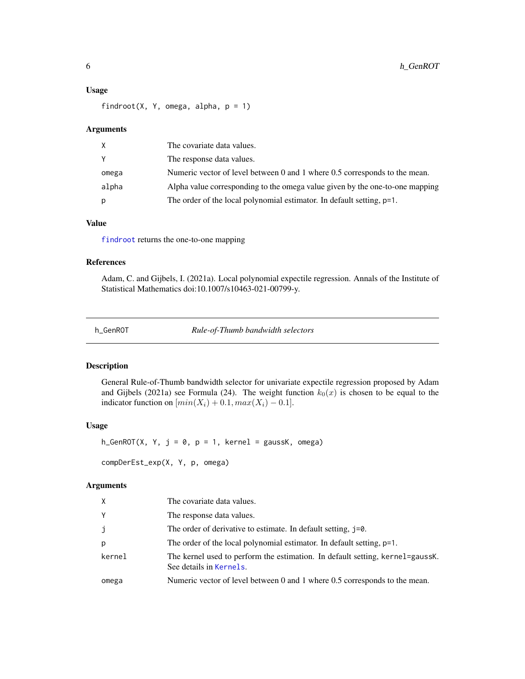#### <span id="page-5-0"></span>Usage

findroot(X, Y, omega, alpha,  $p = 1$ )

# Arguments

| X     | The covariate data values.                                                   |
|-------|------------------------------------------------------------------------------|
| Y     | The response data values.                                                    |
| omega | Numeric vector of level between 0 and 1 where 0.5 corresponds to the mean.   |
| alpha | Alpha value corresponding to the omega value given by the one-to-one mapping |
| р     | The order of the local polynomial estimator. In default setting, p=1.        |

# Value

[findroot](#page-4-1) returns the one-to-one mapping

# References

Adam, C. and Gijbels, I. (2021a). Local polynomial expectile regression. Annals of the Institute of Statistical Mathematics doi:10.1007/s10463-021-00799-y.

<span id="page-5-1"></span>h\_GenROT *Rule-of-Thumb bandwidth selectors*

#### <span id="page-5-2"></span>Description

General Rule-of-Thumb bandwidth selector for univariate expectile regression proposed by Adam and Gijbels (2021a) see Formula (24). The weight function  $k_0(x)$  is chosen to be equal to the indicator function on  $[min(X_i) + 0.1, max(X_i) - 0.1]$ .

# Usage

h\_GenROT(X, Y,  $j = 0$ ,  $p = 1$ , kernel = gaussK, omega)

compDerEst\_exp(X, Y, p, omega)

| X      | The covariate data values.                                                                               |
|--------|----------------------------------------------------------------------------------------------------------|
| Y      | The response data values.                                                                                |
| j      | The order of derivative to estimate. In default setting, j=0.                                            |
| p      | The order of the local polynomial estimator. In default setting, p=1.                                    |
| kernel | The kernel used to perform the estimation. In default setting, kernel=gaussK.<br>See details in Kernels. |
| omega  | Numeric vector of level between 0 and 1 where 0.5 corresponds to the mean.                               |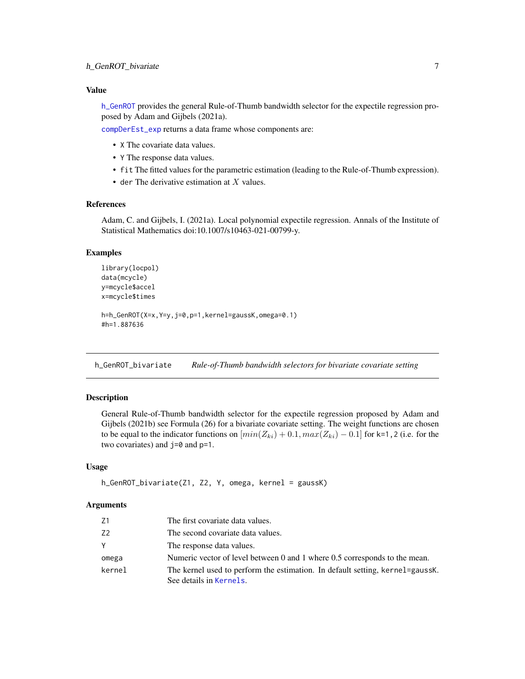<span id="page-6-0"></span>[h\\_GenROT](#page-5-1) provides the general Rule-of-Thumb bandwidth selector for the expectile regression proposed by Adam and Gijbels (2021a).

[compDerEst\\_exp](#page-5-2) returns a data frame whose components are:

- X The covariate data values.
- Y The response data values.
- fit The fitted values for the parametric estimation (leading to the Rule-of-Thumb expression).
- der The derivative estimation at  $X$  values.

# References

Adam, C. and Gijbels, I. (2021a). Local polynomial expectile regression. Annals of the Institute of Statistical Mathematics doi:10.1007/s10463-021-00799-y.

#### Examples

```
library(locpol)
data(mcycle)
y=mcycle$accel
x=mcycle$times
h=h_GenROT(X=x,Y=y,j=0,p=1,kernel=gaussK,omega=0.1)
#h=1.887636
```
<span id="page-6-1"></span>h\_GenROT\_bivariate *Rule-of-Thumb bandwidth selectors for bivariate covariate setting*

### Description

General Rule-of-Thumb bandwidth selector for the expectile regression proposed by Adam and Gijbels (2021b) see Formula (26) for a bivariate covariate setting. The weight functions are chosen to be equal to the indicator functions on  $[min(Z_{ki}) + 0.1, max(Z_{ki}) - 0.1]$  for k=1, 2 (i.e. for the two covariates) and j=0 and p=1.

# Usage

```
h_GenROT_bivariate(Z1, Z2, Y, omega, kernel = gaussK)
```

| Ζ1     | The first covariate data values.                                              |
|--------|-------------------------------------------------------------------------------|
| Z2     | The second covariate data values.                                             |
|        | The response data values.                                                     |
| omega  | Numeric vector of level between 0 and 1 where 0.5 corresponds to the mean.    |
| kernel | The kernel used to perform the estimation. In default setting, kernel=gaussK. |
|        | See details in Kernels.                                                       |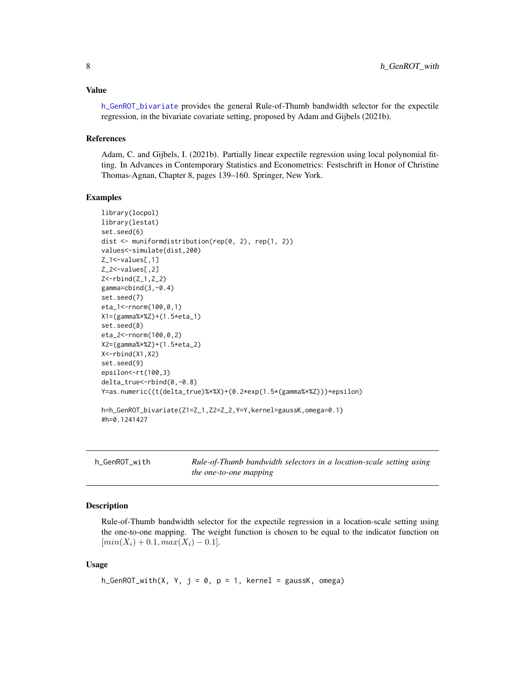<span id="page-7-0"></span>[h\\_GenROT\\_bivariate](#page-6-1) provides the general Rule-of-Thumb bandwidth selector for the expectile regression, in the bivariate covariate setting, proposed by Adam and Gijbels (2021b).

#### References

Adam, C. and Gijbels, I. (2021b). Partially linear expectile regression using local polynomial fitting. In Advances in Contemporary Statistics and Econometrics: Festschrift in Honor of Christine Thomas-Agnan, Chapter 8, pages 139–160. Springer, New York.

# Examples

```
library(locpol)
library(lestat)
set.seed(6)
dist <- muniformdistribution(rep(0, 2), rep(1, 2))
values<-simulate(dist,200)
Z_1<-values[,1]
Z_2<-values[,2]
Z<-rbind(Z_1,Z_2)
gamma=cbind(3,-0.4)
set.seed(7)
eta_1<-rnorm(100,0,1)
X1=(gamma%*%Z)+(1.5*eta_1)
set.seed(8)
eta_2<-rnorm(100,0,2)
X2=(gamma%*%Z)+(1.5*eta_2)
X<-rbind(X1,X2)
set.seed(9)
epsilon<-rt(100,3)
delta_true<-rbind(0,-0.8)
Y=as.numeric((t(delta_true)%*%X)+(0.2*exp(1.5*(gamma%*%Z)))+epsilon)
h=h_GenROT_bivariate(Z1=Z_1,Z2=Z_2,Y=Y,kernel=gaussK,omega=0.1)
#h=0.1241427
```
<span id="page-7-1"></span>h\_GenROT\_with *Rule-of-Thumb bandwidth selectors in a location-scale setting using the one-to-one mapping*

# Description

Rule-of-Thumb bandwidth selector for the expectile regression in a location-scale setting using the one-to-one mapping. The weight function is chosen to be equal to the indicator function on  $[min(X_i) + 0.1, max(X_i) - 0.1].$ 

#### Usage

h\_GenROT\_with(X, Y,  $j = 0$ ,  $p = 1$ , kernel = gaussK, omega)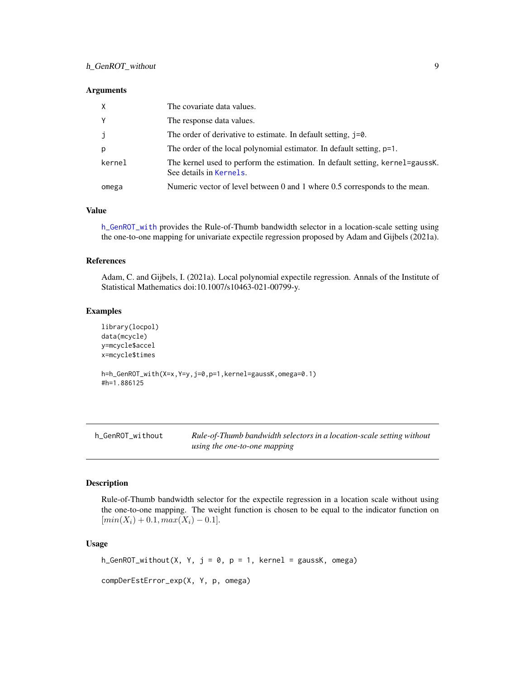#### <span id="page-8-0"></span>**Arguments**

| $\times$ | The covariate data values.                                                                               |
|----------|----------------------------------------------------------------------------------------------------------|
| Y        | The response data values.                                                                                |
| j        | The order of derivative to estimate. In default setting, j=0.                                            |
| p        | The order of the local polynomial estimator. In default setting, p=1.                                    |
| kernel   | The kernel used to perform the estimation. In default setting, kernel=gaussK.<br>See details in Kernels. |
| omega    | Numeric vector of level between 0 and 1 where 0.5 corresponds to the mean.                               |

#### Value

[h\\_GenROT\\_with](#page-7-1) provides the Rule-of-Thumb bandwidth selector in a location-scale setting using the one-to-one mapping for univariate expectile regression proposed by Adam and Gijbels (2021a).

# References

Adam, C. and Gijbels, I. (2021a). Local polynomial expectile regression. Annals of the Institute of Statistical Mathematics doi:10.1007/s10463-021-00799-y.

# Examples

```
library(locpol)
data(mcycle)
y=mcycle$accel
x=mcycle$times
h=h_GenROT_with(X=x,Y=y,j=0,p=1,kernel=gaussK,omega=0.1)
#h=1.886125
```
<span id="page-8-1"></span>

 $Rule-of-Thumb\ bandwidth\ selectors in\ a\ location-scale\ setting\ without$ *using the one-to-one mapping*

### <span id="page-8-2"></span>Description

Rule-of-Thumb bandwidth selector for the expectile regression in a location scale without using the one-to-one mapping. The weight function is chosen to be equal to the indicator function on  $[min(X_i) + 0.1, max(X_i) - 0.1].$ 

#### Usage

```
h_GenROT_without(X, Y, j = 0, p = 1, kernel = gaussK, omega)
```

```
compDerEstError_exp(X, Y, p, omega)
```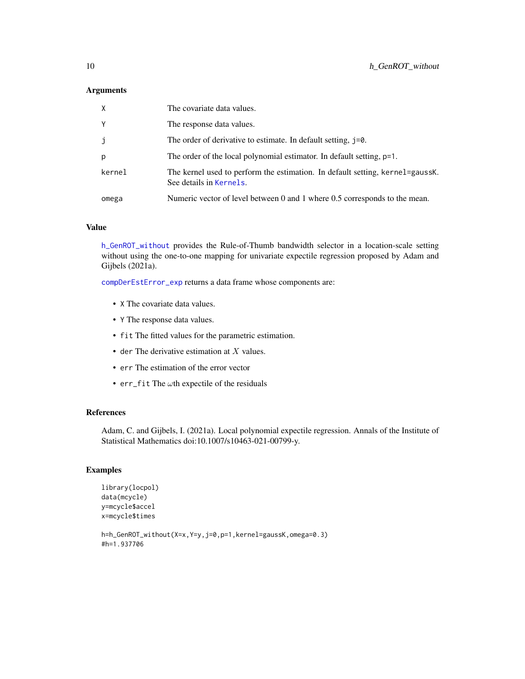# <span id="page-9-0"></span>Arguments

| X      | The covariate data values.                                                                               |
|--------|----------------------------------------------------------------------------------------------------------|
| Y      | The response data values.                                                                                |
| j      | The order of derivative to estimate. In default setting, j=0.                                            |
| p      | The order of the local polynomial estimator. In default setting, p=1.                                    |
| kernel | The kernel used to perform the estimation. In default setting, kernel=gaussK.<br>See details in Kernels. |
| omega  | Numeric vector of level between 0 and 1 where 0.5 corresponds to the mean.                               |

# Value

[h\\_GenROT\\_without](#page-8-1) provides the Rule-of-Thumb bandwidth selector in a location-scale setting without using the one-to-one mapping for univariate expectile regression proposed by Adam and Gijbels (2021a).

[compDerEstError\\_exp](#page-8-2) returns a data frame whose components are:

- X The covariate data values.
- Y The response data values.
- fit The fitted values for the parametric estimation.
- der The derivative estimation at  $X$  values.
- err The estimation of the error vector
- err\_fit The  $\omega$ th expectile of the residuals

# References

Adam, C. and Gijbels, I. (2021a). Local polynomial expectile regression. Annals of the Institute of Statistical Mathematics doi:10.1007/s10463-021-00799-y.

```
library(locpol)
data(mcycle)
y=mcycle$accel
x=mcycle$times
```

```
h=h_GenROT_without(X=x,Y=y,j=0,p=1,kernel=gaussK,omega=0.3)
#h=1.937706
```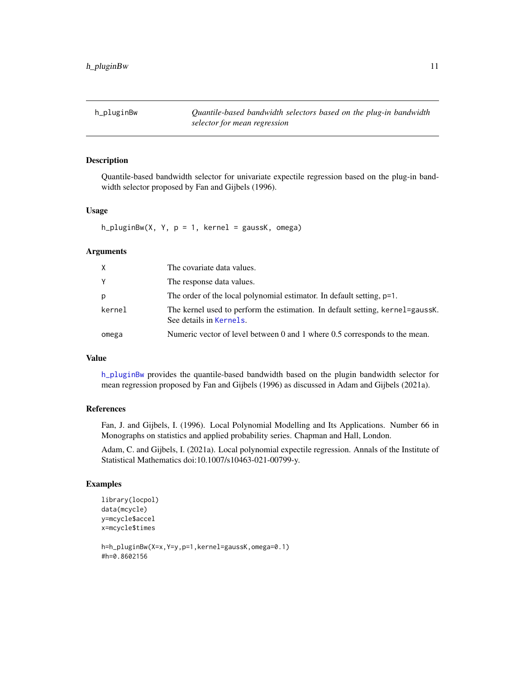<span id="page-10-1"></span><span id="page-10-0"></span>h\_pluginBw *Quantile-based bandwidth selectors based on the plug-in bandwidth selector for mean regression*

# Description

Quantile-based bandwidth selector for univariate expectile regression based on the plug-in bandwidth selector proposed by Fan and Gijbels (1996).

#### Usage

 $h_{pluginBw}(X, Y, p = 1, kernel = gaussK, omega)$ 

# Arguments

| X.     | The covariate data values.                                                                               |
|--------|----------------------------------------------------------------------------------------------------------|
| Υ      | The response data values.                                                                                |
| р      | The order of the local polynomial estimator. In default setting, p=1.                                    |
| kernel | The kernel used to perform the estimation. In default setting, kernel=gaussK.<br>See details in Kernels. |
| omega  | Numeric vector of level between 0 and 1 where 0.5 corresponds to the mean.                               |

# Value

[h\\_pluginBw](#page-10-1) provides the quantile-based bandwidth based on the plugin bandwidth selector for mean regression proposed by Fan and Gijbels (1996) as discussed in Adam and Gijbels (2021a).

### References

Fan, J. and Gijbels, I. (1996). Local Polynomial Modelling and Its Applications. Number 66 in Monographs on statistics and applied probability series. Chapman and Hall, London.

Adam, C. and Gijbels, I. (2021a). Local polynomial expectile regression. Annals of the Institute of Statistical Mathematics doi:10.1007/s10463-021-00799-y.

```
library(locpol)
data(mcycle)
y=mcycle$accel
x=mcycle$times
```

```
h=h_pluginBw(X=x,Y=y,p=1,kernel=gaussK,omega=0.1)
#h=0.8602156
```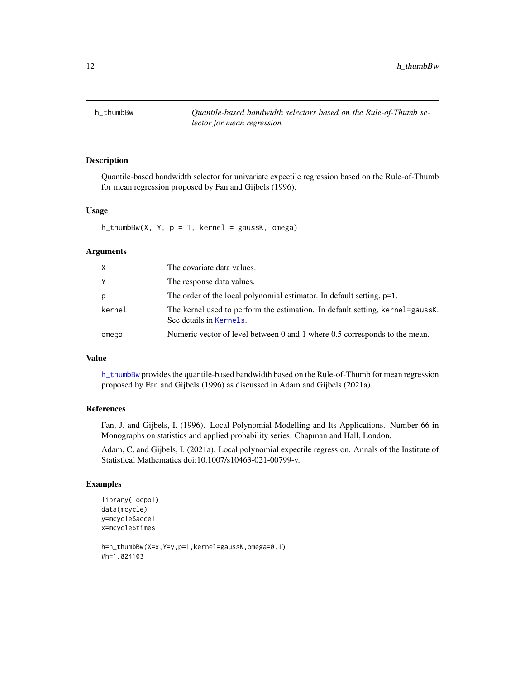<span id="page-11-1"></span><span id="page-11-0"></span>

# Description

Quantile-based bandwidth selector for univariate expectile regression based on the Rule-of-Thumb for mean regression proposed by Fan and Gijbels (1996).

#### Usage

 $h_t$ thumbBw(X, Y, p = 1, kernel = gaussK, omega)

# Arguments

| Χ      | The covariate data values.                                                                               |
|--------|----------------------------------------------------------------------------------------------------------|
|        | The response data values.                                                                                |
| p      | The order of the local polynomial estimator. In default setting, p=1.                                    |
| kernel | The kernel used to perform the estimation. In default setting, kernel=gaussK.<br>See details in Kernels. |
| omega  | Numeric vector of level between 0 and 1 where 0.5 corresponds to the mean.                               |

# Value

[h\\_thumbBw](#page-11-1) provides the quantile-based bandwidth based on the Rule-of-Thumb for mean regression proposed by Fan and Gijbels (1996) as discussed in Adam and Gijbels (2021a).

### References

Fan, J. and Gijbels, I. (1996). Local Polynomial Modelling and Its Applications. Number 66 in Monographs on statistics and applied probability series. Chapman and Hall, London.

Adam, C. and Gijbels, I. (2021a). Local polynomial expectile regression. Annals of the Institute of Statistical Mathematics doi:10.1007/s10463-021-00799-y.

```
library(locpol)
data(mcycle)
y=mcycle$accel
x=mcycle$times
```

```
h=h_thumbBw(X=x,Y=y,p=1,kernel=gaussK,omega=0.1)
#h=1.824103
```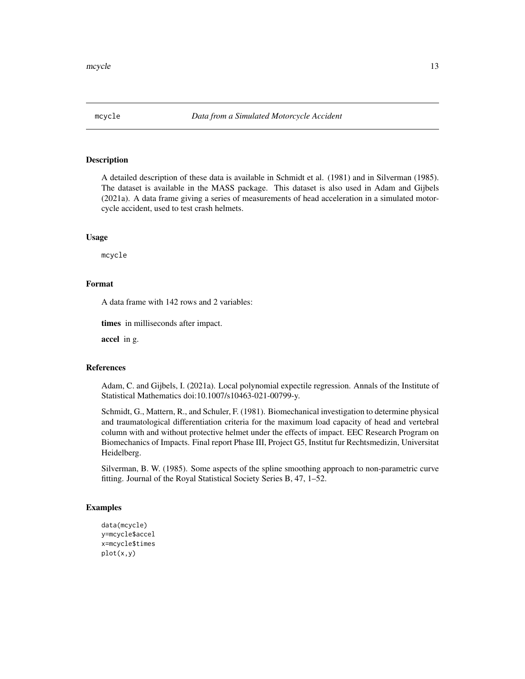<span id="page-12-0"></span>

# **Description**

A detailed description of these data is available in Schmidt et al. (1981) and in Silverman (1985). The dataset is available in the MASS package. This dataset is also used in Adam and Gijbels (2021a). A data frame giving a series of measurements of head acceleration in a simulated motorcycle accident, used to test crash helmets.

#### Usage

mcycle

# Format

A data frame with 142 rows and 2 variables:

times in milliseconds after impact.

accel in g.

# References

Adam, C. and Gijbels, I. (2021a). Local polynomial expectile regression. Annals of the Institute of Statistical Mathematics doi:10.1007/s10463-021-00799-y.

Schmidt, G., Mattern, R., and Schuler, F. (1981). Biomechanical investigation to determine physical and traumatological differentiation criteria for the maximum load capacity of head and vertebral column with and without protective helmet under the effects of impact. EEC Research Program on Biomechanics of Impacts. Final report Phase III, Project G5, Institut fur Rechtsmedizin, Universitat Heidelberg.

Silverman, B. W. (1985). Some aspects of the spline smoothing approach to non-parametric curve fitting. Journal of the Royal Statistical Society Series B, 47, 1–52.

```
data(mcycle)
y=mcycle$accel
x=mcycle$times
plot(x,y)
```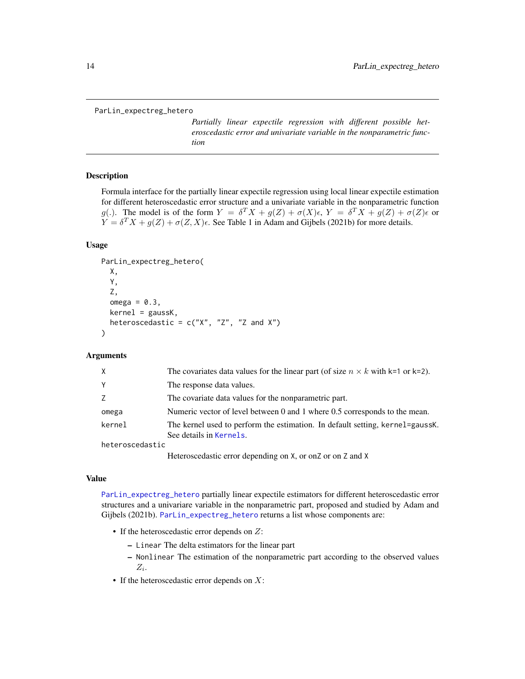```
ParLin_expectreg_hetero
```
*Partially linear expectile regression with different possible heteroscedastic error and univariate variable in the nonparametric function*

#### Description

Formula interface for the partially linear expectile regression using local linear expectile estimation for different heteroscedastic error structure and a univariate variable in the nonparametric function g(.). The model is of the form  $Y = \delta^T X + g(Z) + \sigma(X)\epsilon$ ,  $Y = \delta^T X + g(Z) + \sigma(Z)\epsilon$  or  $Y = \delta^T X + g(Z) + \sigma(Z, X)\epsilon$ . See Table 1 in Adam and Gijbels (2021b) for more details.

# Usage

```
ParLin_expectreg_hetero(
 X,
  Y,
  Z,
  omega = 0.3,
  kernel = gaussK,
 heteroscedastic = c("X", "Z", "Z and X"))
```
### Arguments

| X.              | The covariates data values for the linear part (of size $n \times k$ with k=1 or k=2).                   |
|-----------------|----------------------------------------------------------------------------------------------------------|
| Υ               | The response data values.                                                                                |
| Ζ               | The covariate data values for the nonparametric part.                                                    |
| omega           | Numeric vector of level between 0 and 1 where 0.5 corresponds to the mean.                               |
| kernel          | The kernel used to perform the estimation. In default setting, kernel=gaussK.<br>See details in Kernels. |
| heteroscedastic |                                                                                                          |
|                 | Heteroscedastic error depending on X, or on Z or on Z and X                                              |

#### Value

[ParLin\\_expectreg\\_hetero](#page-13-1) partially linear expectile estimators for different heteroscedastic error structures and a univariare variable in the nonparametric part, proposed and studied by Adam and Gijbels (2021b). [ParLin\\_expectreg\\_hetero](#page-13-1) returns a list whose components are:

- If the heteroscedastic error depends on  $Z$ :
	- Linear The delta estimators for the linear part
	- Nonlinear The estimation of the nonparametric part according to the observed values  $Z_i$ .
- If the heteroscedastic error depends on  $X$ :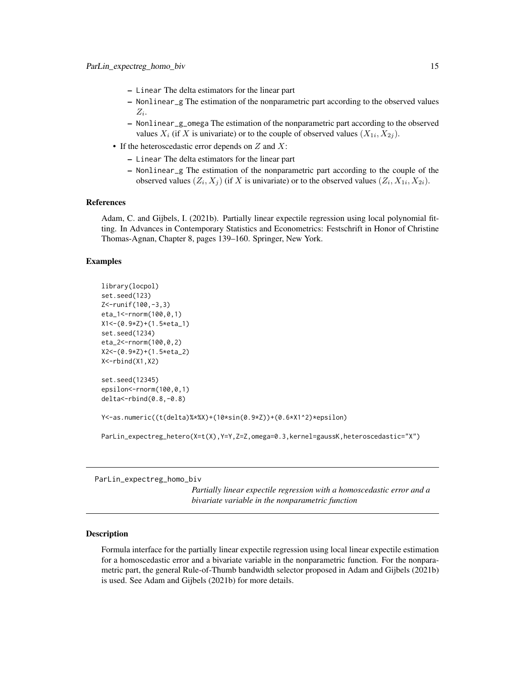- <span id="page-14-0"></span>– Linear The delta estimators for the linear part
- Nonlinear\_g The estimation of the nonparametric part according to the observed values  $Z_i$ .
- Nonlinear\_g\_omega The estimation of the nonparametric part according to the observed values  $X_i$  (if X is univariate) or to the couple of observed values  $(X_{1i}, X_{2j})$ .
- If the heteroscedastic error depends on  $Z$  and  $X$ :
	- Linear The delta estimators for the linear part
	- Nonlinear\_g The estimation of the nonparametric part according to the couple of the observed values  $(Z_i, X_j)$  (if X is univariate) or to the observed values  $(Z_i, X_{1i}, X_{2i})$ .

# References

Adam, C. and Gijbels, I. (2021b). Partially linear expectile regression using local polynomial fitting. In Advances in Contemporary Statistics and Econometrics: Festschrift in Honor of Christine Thomas-Agnan, Chapter 8, pages 139–160. Springer, New York.

## Examples

```
library(locpol)
set.seed(123)
Z<-runif(100,-3,3)
eta_1<-rnorm(100,0,1)
X1<-(0.9*Z)+(1.5*eta_1)
set.seed(1234)
eta_2<-rnorm(100,0,2)
X2<-(0.9*Z)+(1.5*eta_2)
X<-rbind(X1,X2)
set.seed(12345)
epsilon<-rnorm(100,0,1)
delta<-rbind(0.8,-0.8)
Y<-as.numeric((t(delta)%*%X)+(10*sin(0.9*Z))+(0.6*X1^2)*epsilon)
```
ParLin\_expectreg\_hetero(X=t(X),Y=Y,Z=Z,omega=0.3,kernel=gaussK,heteroscedastic="X")

<span id="page-14-1"></span>ParLin\_expectreg\_homo\_biv

*Partially linear expectile regression with a homoscedastic error and a bivariate variable in the nonparametric function*

#### Description

Formula interface for the partially linear expectile regression using local linear expectile estimation for a homoscedastic error and a bivariate variable in the nonparametric function. For the nonparametric part, the general Rule-of-Thumb bandwidth selector proposed in Adam and Gijbels (2021b) is used. See Adam and Gijbels (2021b) for more details.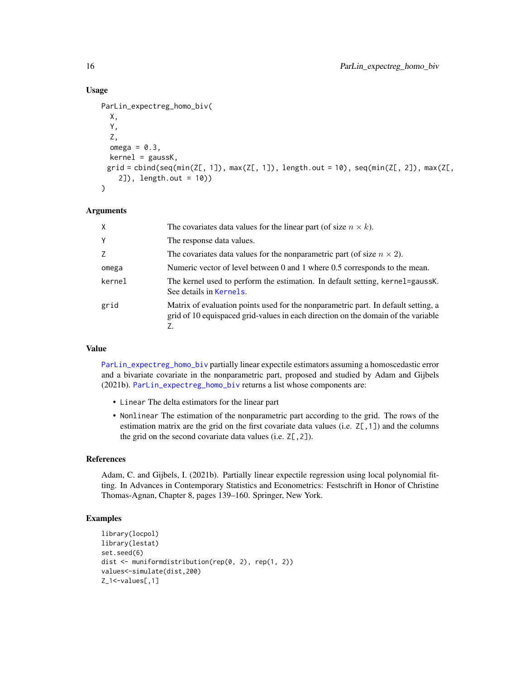# Usage

```
ParLin_expectreg_homo_biv(
   X,
   Y,
   Z,
   omega = 0.3,
   kernel = gaussK,
  grid = \text{cbind}(\text{seq}(\text{min}(Z[, 1]), \text{max}(Z[, 1]), \text{length.out} = 10), \text{seq}(\text{min}(Z[, 2]), \text{max}(Z[, 1]), \text{max}(Z[, 1]), \text{length.out} = 10)2]), length.out = 10))
)
```
#### Arguments

| X              | The covariates data values for the linear part (of size $n \times k$ ).                                                                                                 |
|----------------|-------------------------------------------------------------------------------------------------------------------------------------------------------------------------|
| Y              | The response data values.                                                                                                                                               |
| $\overline{7}$ | The covariates data values for the nonparametric part (of size $n \times 2$ ).                                                                                          |
| omega          | Numeric vector of level between 0 and 1 where 0.5 corresponds to the mean.                                                                                              |
| kernel         | The kernel used to perform the estimation. In default setting, kernel=gaussK.<br>See details in Kernels.                                                                |
| grid           | Matrix of evaluation points used for the nonparametric part. In default setting, a<br>grid of 10 equispaced grid-values in each direction on the domain of the variable |

# Value

[ParLin\\_expectreg\\_homo\\_biv](#page-14-1) partially linear expectile estimators assuming a homoscedastic error and a bivariate covariate in the nonparametric part, proposed and studied by Adam and Gijbels (2021b). [ParLin\\_expectreg\\_homo\\_biv](#page-14-1) returns a list whose components are:

- Linear The delta estimators for the linear part
- Nonlinear The estimation of the nonparametric part according to the grid. The rows of the estimation matrix are the grid on the first covariate data values (i.e. Z[,1]) and the columns the grid on the second covariate data values (i.e.  $Z[$ , 2]).

#### References

Adam, C. and Gijbels, I. (2021b). Partially linear expectile regression using local polynomial fitting. In Advances in Contemporary Statistics and Econometrics: Festschrift in Honor of Christine Thomas-Agnan, Chapter 8, pages 139–160. Springer, New York.

```
library(locpol)
library(lestat)
set.seed(6)
dist <- muniformdistribution(rep(0, 2), rep(1, 2))
values<-simulate(dist,200)
Z_1<-values[,1]
```
<span id="page-15-0"></span>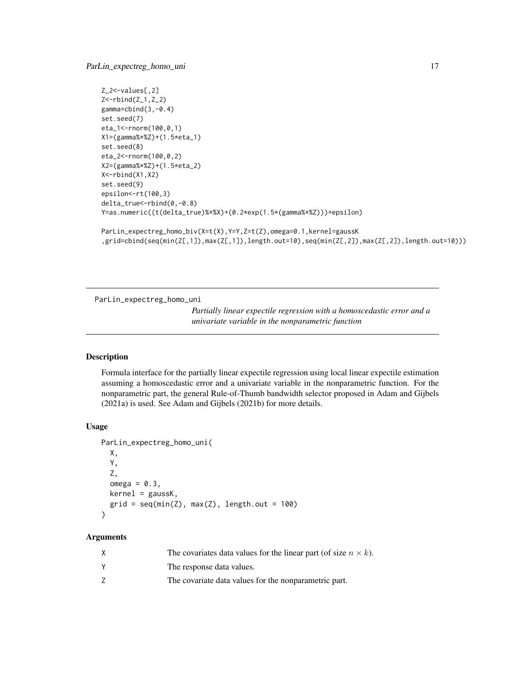```
Z_2<-values[,2]
Z<-rbind(Z_1,Z_2)
gamma=cbind(3,-0.4)
set.seed(7)
eta_1<-rnorm(100,0,1)
X1=(gamma%*%Z)+(1.5*eta_1)
set.seed(8)
eta_2<-rnorm(100,0,2)
X2=(gamma%*%Z)+(1.5*eta_2)
X<-rbind(X1,X2)
set.seed(9)
epsilon<-rt(100,3)
delta_true<-rbind(0,-0.8)
Y=as.numeric((t(delta_true)%*%X)+(0.2*exp(1.5*(gamma%*%Z)))+epsilon)
ParLin_expectreg_homo_biv(X=t(X),Y=Y,Z=t(Z),omega=0.1,kernel=gaussK
,grid=cbind(seq(min(Z[,1]),max(Z[,1]),length.out=10),seq(min(Z[,2]),max(Z[,2]),length.out=10)))
```
<span id="page-16-1"></span>ParLin\_expectreg\_homo\_uni

*Partially linear expectile regression with a homoscedastic error and a univariate variable in the nonparametric function*

### Description

Formula interface for the partially linear expectile regression using local linear expectile estimation assuming a homoscedastic error and a univariate variable in the nonparametric function. For the nonparametric part, the general Rule-of-Thumb bandwidth selector proposed in Adam and Gijbels (2021a) is used. See Adam and Gijbels (2021b) for more details.

#### Usage

```
ParLin_expectreg_homo_uni(
 X,
 Y,
  Z,
  omega = 0.3,
 kernel = gaussK,
  grid = seq(min(Z), max(Z), length.out = 100)\lambda
```

| X | The covariates data values for the linear part (of size $n \times k$ ). |
|---|-------------------------------------------------------------------------|
|   | The response data values.                                               |
|   | The covariate data values for the nonparametric part.                   |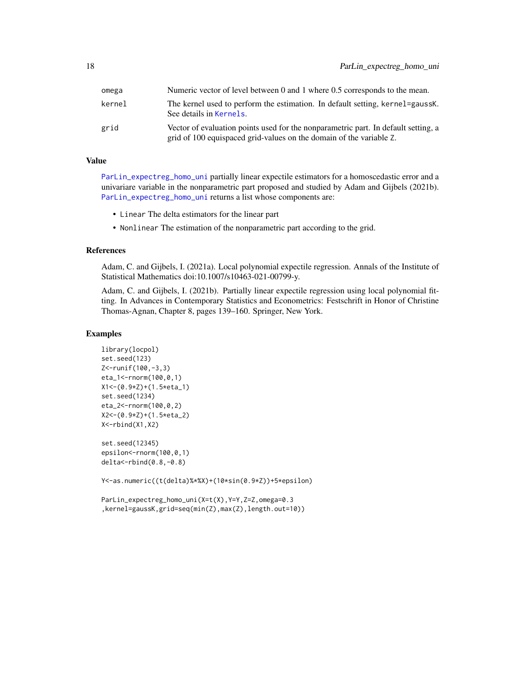<span id="page-17-0"></span>

| omega  | Numeric vector of level between 0 and 1 where 0.5 corresponds to the mean.                                                                                |  |
|--------|-----------------------------------------------------------------------------------------------------------------------------------------------------------|--|
| kernel | The kernel used to perform the estimation. In default setting, kernel=gaussK.<br>See details in Kernels.                                                  |  |
| grid   | Vector of evaluation points used for the nonparametric part. In default setting, a<br>grid of 100 equispaced grid-values on the domain of the variable Z. |  |

[ParLin\\_expectreg\\_homo\\_uni](#page-16-1) partially linear expectile estimators for a homoscedastic error and a univariare variable in the nonparametric part proposed and studied by Adam and Gijbels (2021b). [ParLin\\_expectreg\\_homo\\_uni](#page-16-1) returns a list whose components are:

- Linear The delta estimators for the linear part
- Nonlinear The estimation of the nonparametric part according to the grid.

#### References

Adam, C. and Gijbels, I. (2021a). Local polynomial expectile regression. Annals of the Institute of Statistical Mathematics doi:10.1007/s10463-021-00799-y.

Adam, C. and Gijbels, I. (2021b). Partially linear expectile regression using local polynomial fitting. In Advances in Contemporary Statistics and Econometrics: Festschrift in Honor of Christine Thomas-Agnan, Chapter 8, pages 139–160. Springer, New York.

# Examples

```
library(locpol)
set.seed(123)
Z<-runif(100,-3,3)
eta_1<-rnorm(100,0,1)
X1<-(0.9*Z)+(1.5*eta_1)
set.seed(1234)
eta_2<-rnorm(100,0,2)
X2<-(0.9*Z)+(1.5*eta_2)
X<-rbind(X1,X2)
```

```
set.seed(12345)
epsilon<-rnorm(100,0,1)
delta<-rbind(0.8,-0.8)
```
Y<-as.numeric((t(delta)%\*%X)+(10\*sin(0.9\*Z))+5\*epsilon)

ParLin\_expectreg\_homo\_uni(X=t(X),Y=Y,Z=Z,omega=0.3 ,kernel=gaussK,grid=seq(min(Z),max(Z),length.out=10))